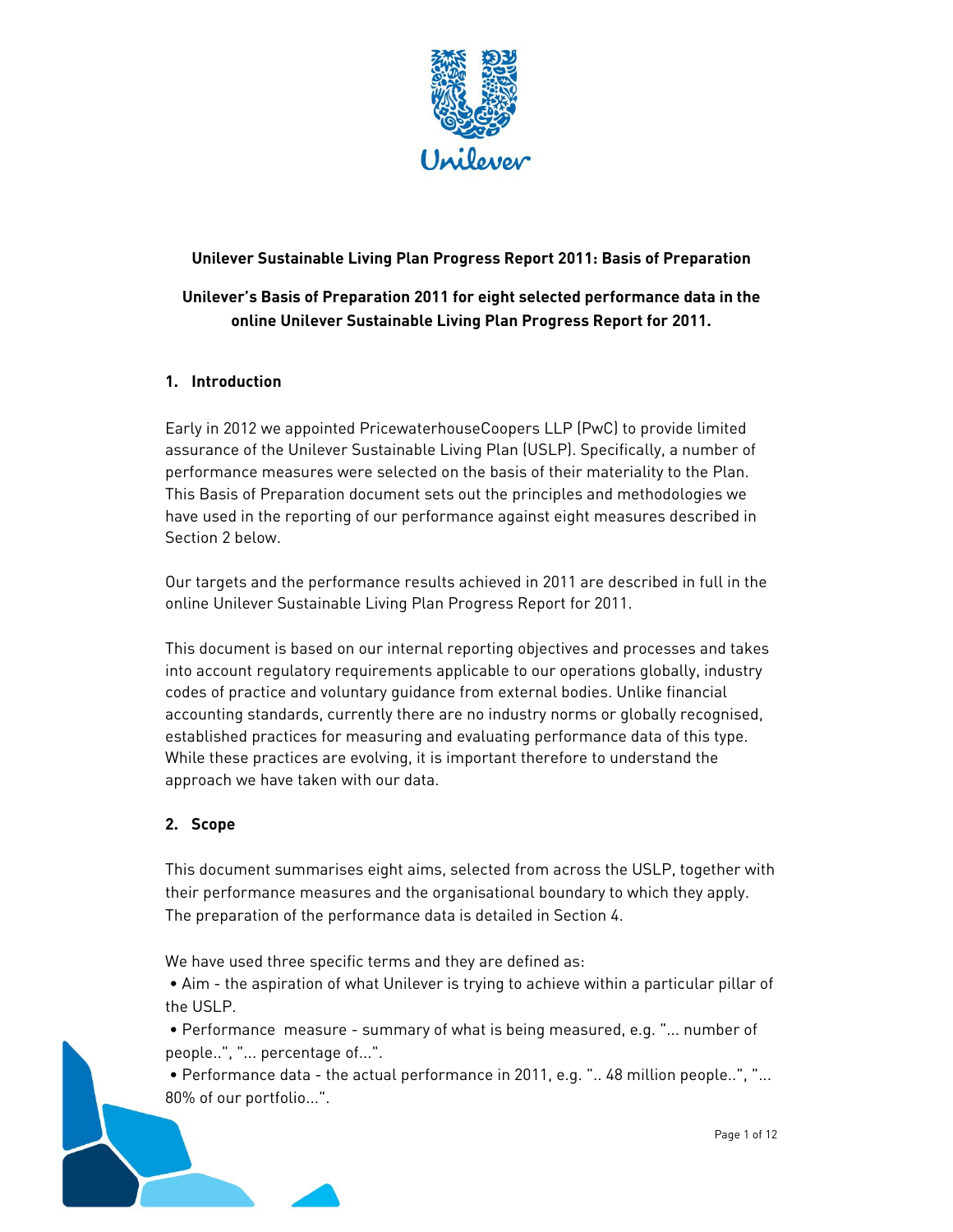

# **Unilever Sustainable Living Plan Progress Report 2011: Basis of Preparation Unilever's Basis of Preparation 2011 for eight selected performance data in the online Unilever Sustainable Living Plan Progress Report for 2011.**

#### **1. Introduction**

 have used in the reporting of our performance against eight measures described in Early in 2012 we appointed PricewaterhouseCoopers LLP (PwC) to provide limited assurance of the Unilever Sustainable Living Plan (USLP). Specifically, a number of performance measures were selected on the basis of their materiality to the Plan. This Basis of Preparation document sets out the principles and methodologies we Section 2 below.

Our targets and the performance results achieved in 2011 are described in full in the online Unilever Sustainable Living Plan Progress Report for 2011.

This document is based on our internal reporting objectives and processes and takes into account regulatory requirements applicable to our operations globally, industry codes of practice and voluntary guidance from external bodies. Unlike financial accounting standards, currently there are no industry norms or globally recognised, established practices for measuring and evaluating performance data of this type. While these practices are evolving, it is important therefore to understand the approach we have taken with our data.

#### **2. Scope**

 This document summarises eight aims, selected from across the USLP, together with their performance measures and the organisational boundary to which they apply. The preparation of the performance data is detailed in Section 4.

We have used three specific terms and they are defined as:

 the USLP. • Aim - the aspiration of what Unilever is trying to achieve within a particular pillar of

 • Performance measure - summary of what is being measured, e.g. "... number of people..", "... percentage of...".

80% of our portfolio...". • Performance data - the actual performance in 2011, e.g. ".. 48 million people..", "... 80% of our portfolio...".<br>Page 1 of 12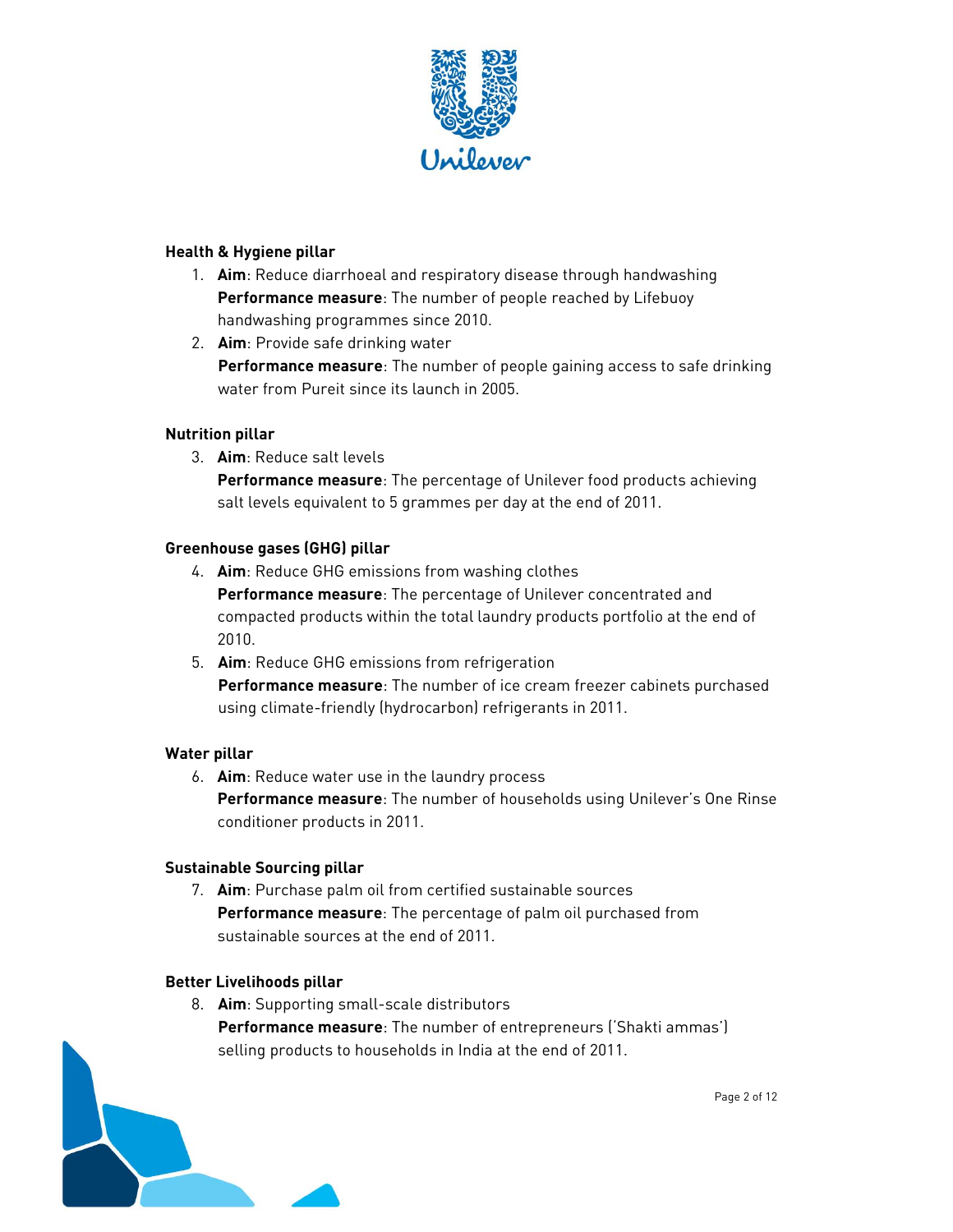

#### **Health & Hygiene pillar**

- 1. **Aim**: Reduce diarrhoeal and respiratory disease through handwashing **Performance measure**: The number of people reached by Lifebuoy handwashing programmes since 2010.
- 2. **Aim**: Provide safe drinking water **Performance measure**: The number of people gaining access to safe drinking water from Pureit since its launch in 2005.

#### **Nutrition pillar**

3. **Aim**: Reduce salt levels

**Performance measure**: The percentage of Unilever food products achieving salt levels equivalent to 5 grammes per day at the end of 2011.

#### **Greenhouse gases (GHG) pillar**

- 4. **Aim**: Reduce GHG emissions from washing clothes **Performance measure**: The percentage of Unilever concentrated and compacted products within the total laundry products portfolio at the end of 2010.
- using climate-friendly (hydrocarbon) refrigerants in 2011. 5. **Aim**: Reduce GHG emissions from refrigeration **Performance measure**: The number of ice cream freezer cabinets purchased

#### **Water pillar**

6. **Aim**: Reduce water use in the laundry process **Performance measure**: The number of households using Unilever's One Rinse conditioner products in 2011.

#### **Sustainable Sourcing pillar**

7. **Aim**: Purchase palm oil from certified sustainable sources **Performance measure**: The percentage of palm oil purchased from sustainable sources at the end of 2011.

#### **Better Livelihoods pillar**

8. **Aim**: Supporting small-scale distributors **Performance measure**: The number of entrepreneurs ('Shakti ammas') selling products to households in India at the end of 2011.

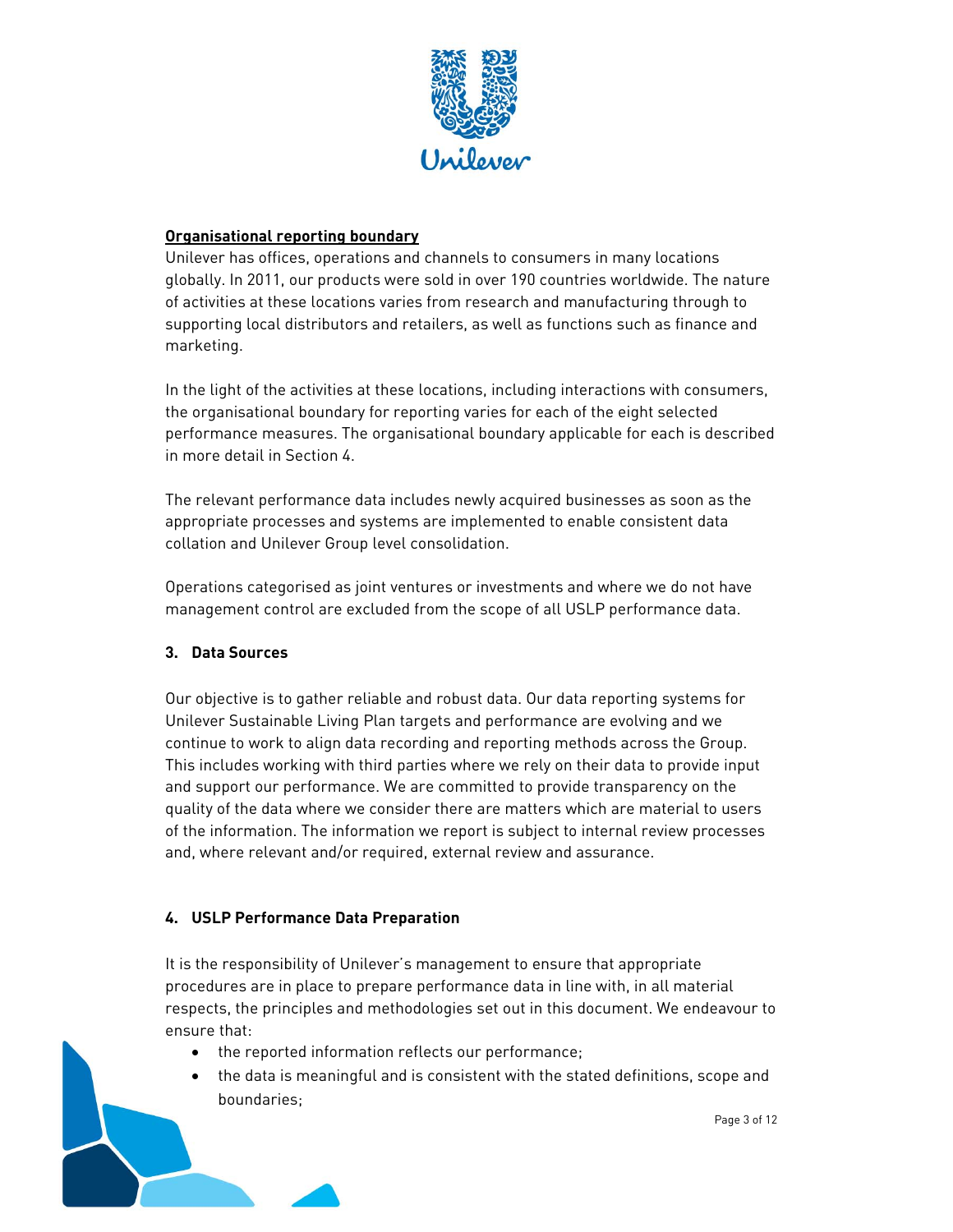

#### **Organisational reporting boundary**

 Unilever has offices, operations and channels to consumers in many locations globally. In 2011, our products were sold in over 190 countries worldwide. The nature of activities at these locations varies from research and manufacturing through to supporting local distributors and retailers, as well as functions such as finance and marketing.

In the light of the activities at these locations, including interactions with consumers, the organisational boundary for reporting varies for each of the eight selected performance measures. The organisational boundary applicable for each is described in more detail in Section 4.

The relevant performance data includes newly acquired businesses as soon as the appropriate processes and systems are implemented to enable consistent data collation and Unilever Group level consolidation.

Operations categorised as joint ventures or investments and where we do not have management control are excluded from the scope of all USLP performance data.

#### **3. Data Sources**

 This includes working with third parties where we rely on their data to provide input and support our performance. We are committed to provide transparency on the Our objective is to gather reliable and robust data. Our data reporting systems for Unilever Sustainable Living Plan targets and performance are evolving and we continue to work to align data recording and reporting methods across the Group. quality of the data where we consider there are matters which are material to users of the information. The information we report is subject to internal review processes and, where relevant and/or required, external review and assurance.

#### **4. USLP Performance Data Preparation**

 respects, the principles and methodologies set out in this document. We endeavour to It is the responsibility of Unilever's management to ensure that appropriate procedures are in place to prepare performance data in line with, in all material ensure that:

- the reported information reflects our performance;
- the data is meaningful and is consistent with the stated definitions, scope and boundaries;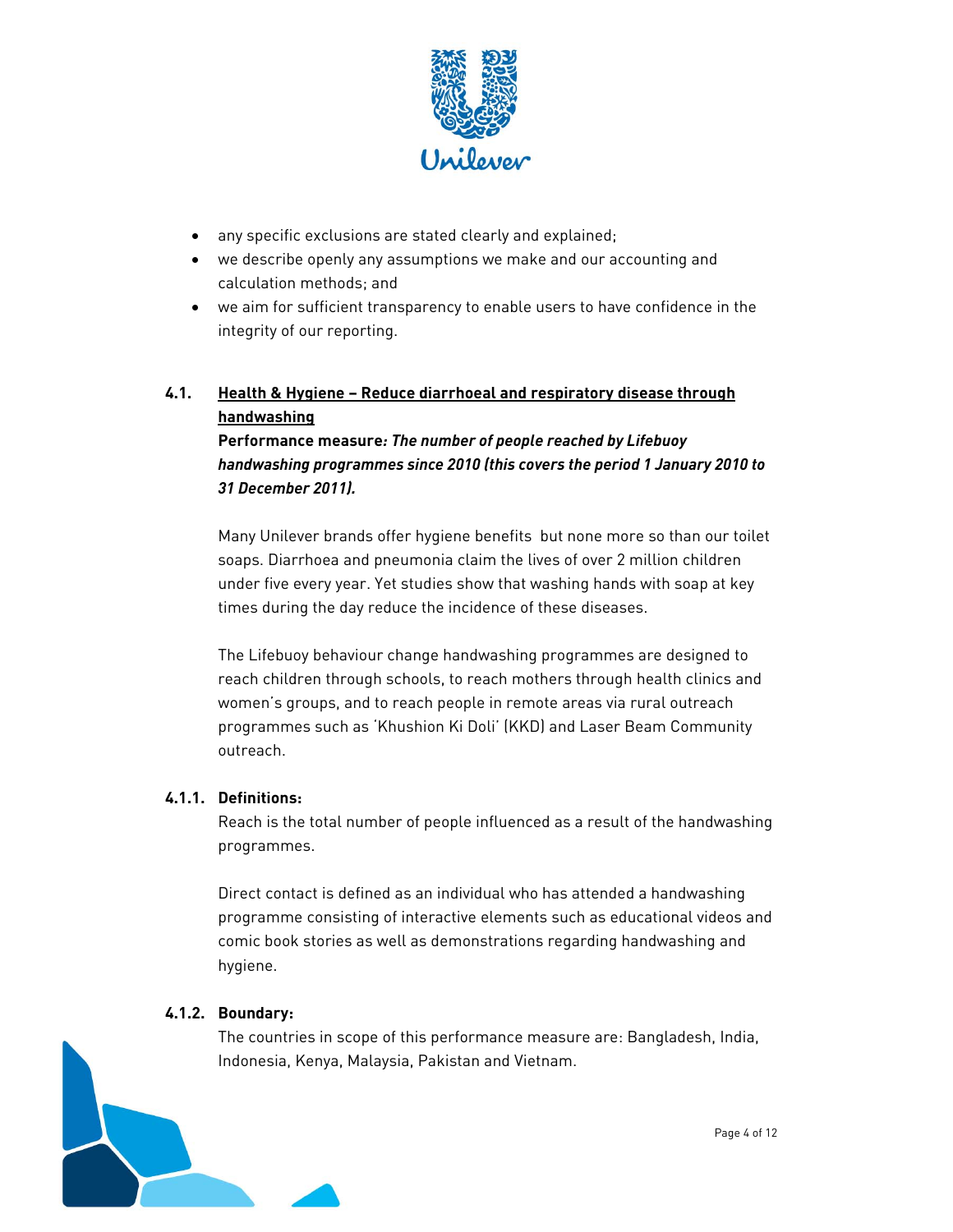

- any specific exclusions are stated clearly and explained;
- we describe openly any assumptions we make and our accounting and calculation methods; and
- we aim for sufficient transparency to enable users to have confidence in the integrity of our reporting.

## **4.1. Health & Hygiene – Reduce diarrhoeal and respiratory disease through handwashing**

 *handwashing programmes since 2010 (this covers the period 1 January 2010 to 31 December 2011).*  **Performance measure***: The number of people reached by Lifebuoy* 

 Many Unilever brands offer hygiene benefits but none more so than our toilet soaps. Diarrhoea and pneumonia claim the lives of over 2 million children under five every year. Yet studies show that washing hands with soap at key times during the day reduce the incidence of these diseases.

The Lifebuoy behaviour change handwashing programmes are designed to reach children through schools, to reach mothers through health clinics and women's groups, and to reach people in remote areas via rural outreach programmes such as 'Khushion Ki Doli' (KKD) and Laser Beam Community outreach.

## **4.1.1. Definitions:**

Reach is the total number of people influenced as a result of the handwashing programmes.

 comic book stories as well as demonstrations regarding handwashing and Direct contact is defined as an individual who has attended a handwashing programme consisting of interactive elements such as educational videos and hygiene.

#### **4.1.2. Boundary:**

 Indonesia, Kenya, Malaysia, Pakistan and Vietnam. The countries in scope of this performance measure are: Bangladesh, India,

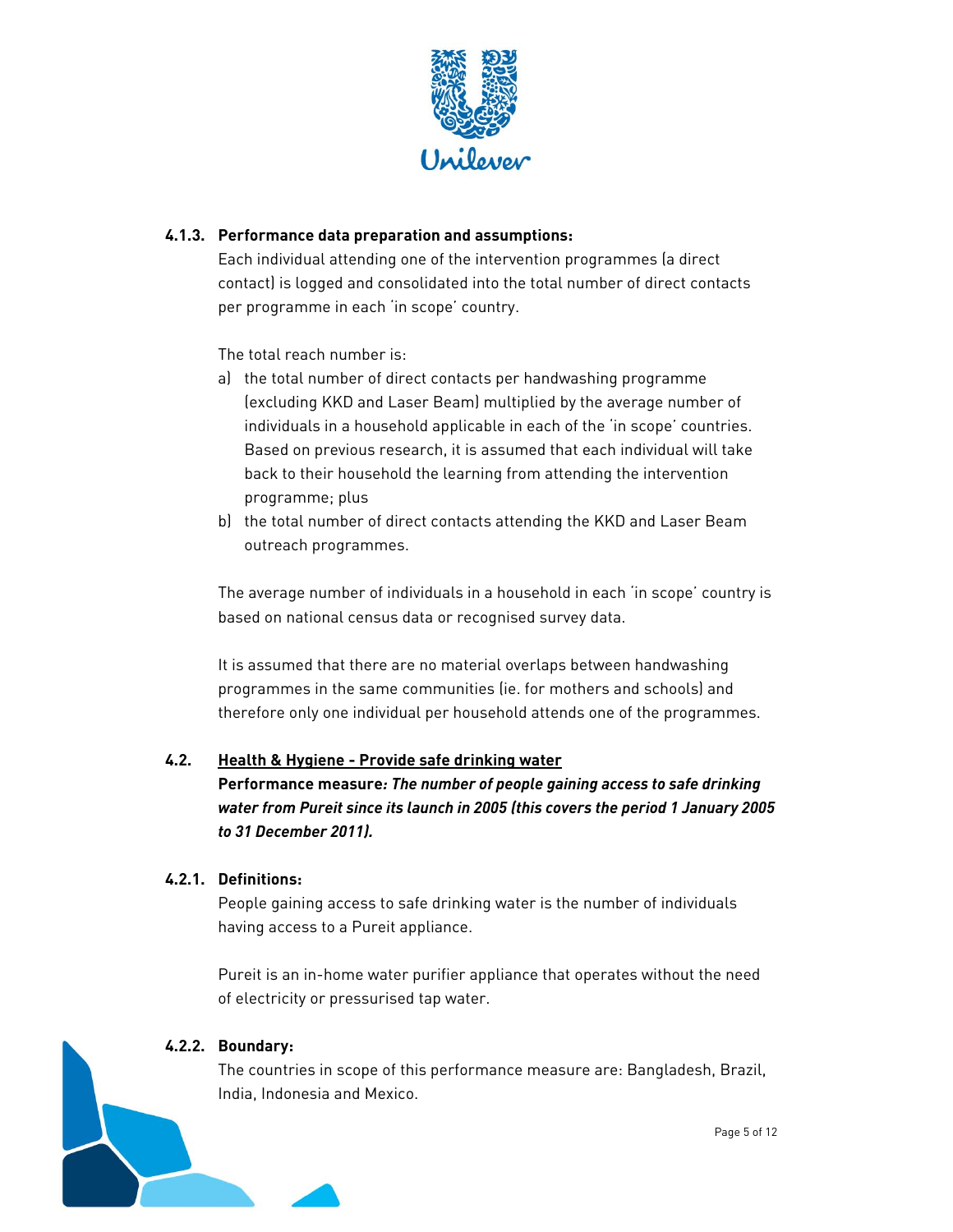

## **4.1.3. Performance data preparation and assumptions:**

Each individual attending one of the intervention programmes (a direct contact) is logged and consolidated into the total number of direct contacts per programme in each 'in scope' country.

The total reach number is:

- a) the total number of direct contacts per handwashing programme (excluding KKD and Laser Beam) multiplied by the average number of individuals in a household applicable in each of the 'in scope' countries. Based on previous research, it is assumed that each individual will take back to their household the learning from attending the intervention programme; plus
- b) the total number of direct contacts attending the KKD and Laser Beam outreach programmes.

The average number of individuals in a household in each 'in scope' country is based on national census data or recognised survey data.

It is assumed that there are no material overlaps between handwashing programmes in the same communities (ie. for mothers and schools) and therefore only one individual per household attends one of the programmes.

#### **4.2. Health & Hygiene - Provide safe drinking water**

**Performance measure***: The number of people gaining access to safe drinking water from Pureit since its launch in 2005 (this covers the period 1 January 2005 to 31 December 2011).* 

#### **4.2.1. Definitions:**

People gaining access to safe drinking water is the number of individuals having access to a Pureit appliance.

 Pureit is an in-home water purifier appliance that operates without the need of electricity or pressurised tap water.

#### **4.2.2. Boundary:**

The countries in scope of this performance measure are: Bangladesh, Brazil, India, Indonesia and Mexico.

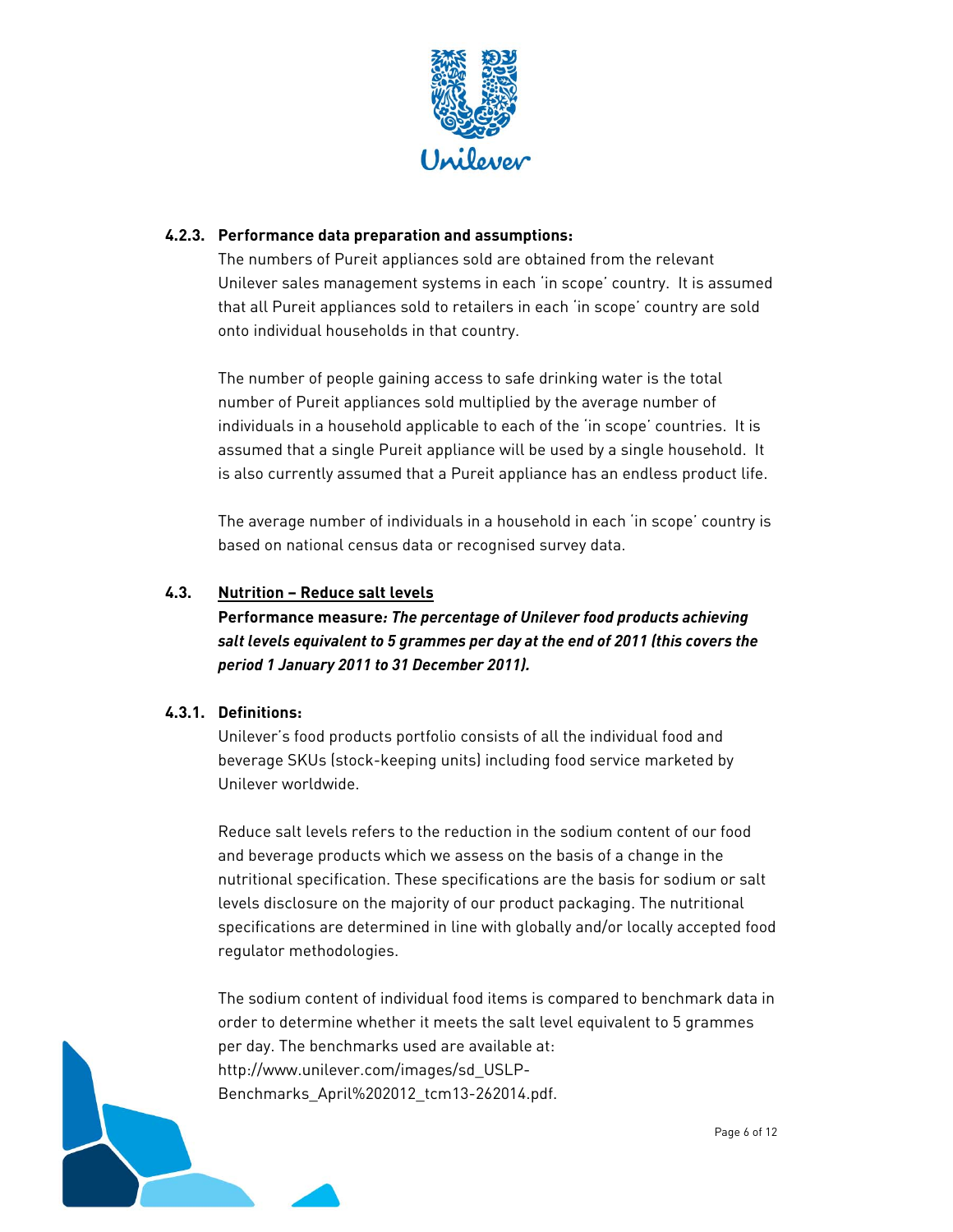

#### **4.2.3. Performance data preparation and assumptions:**

 that all Pureit appliances sold to retailers in each 'in scope' country are sold The numbers of Pureit appliances sold are obtained from the relevant Unilever sales management systems in each 'in scope' country. It is assumed onto individual households in that country.

The number of people gaining access to safe drinking water is the total number of Pureit appliances sold multiplied by the average number of individuals in a household applicable to each of the 'in scope' countries. It is assumed that a single Pureit appliance will be used by a single household. It is also currently assumed that a Pureit appliance has an endless product life.

The average number of individuals in a household in each 'in scope' country is based on national census data or recognised survey data.

#### **4.3. Nutrition – Reduce salt levels**

 *salt levels equivalent to 5 grammes per day at the end of 2011 (this covers the period 1 January 2011 to 31 December 2011).*  **Performance measure***: The percentage of Unilever food products achieving* 

#### **4.3.1. Definitions:**

 Unilever's food products portfolio consists of all the individual food and beverage SKUs (stock-keeping units) including food service marketed by Unilever worldwide.

Reduce salt levels refers to the reduction in the sodium content of our food and beverage products which we assess on the basis of a change in the nutritional specification. These specifications are the basis for sodium or salt levels disclosure on the majority of our product packaging. The nutritional specifications are determined in line with globally and/or locally accepted food regulator methodologies.

The sodium content of individual food items is compared to benchmark data in order to determine whether it meets the salt level equivalent to 5 grammes per day. The benchmarks used are available at: http://www.unilever.com/images/sd\_USLP-Benchmarks\_April%202012\_tcm13-262014.pdf.

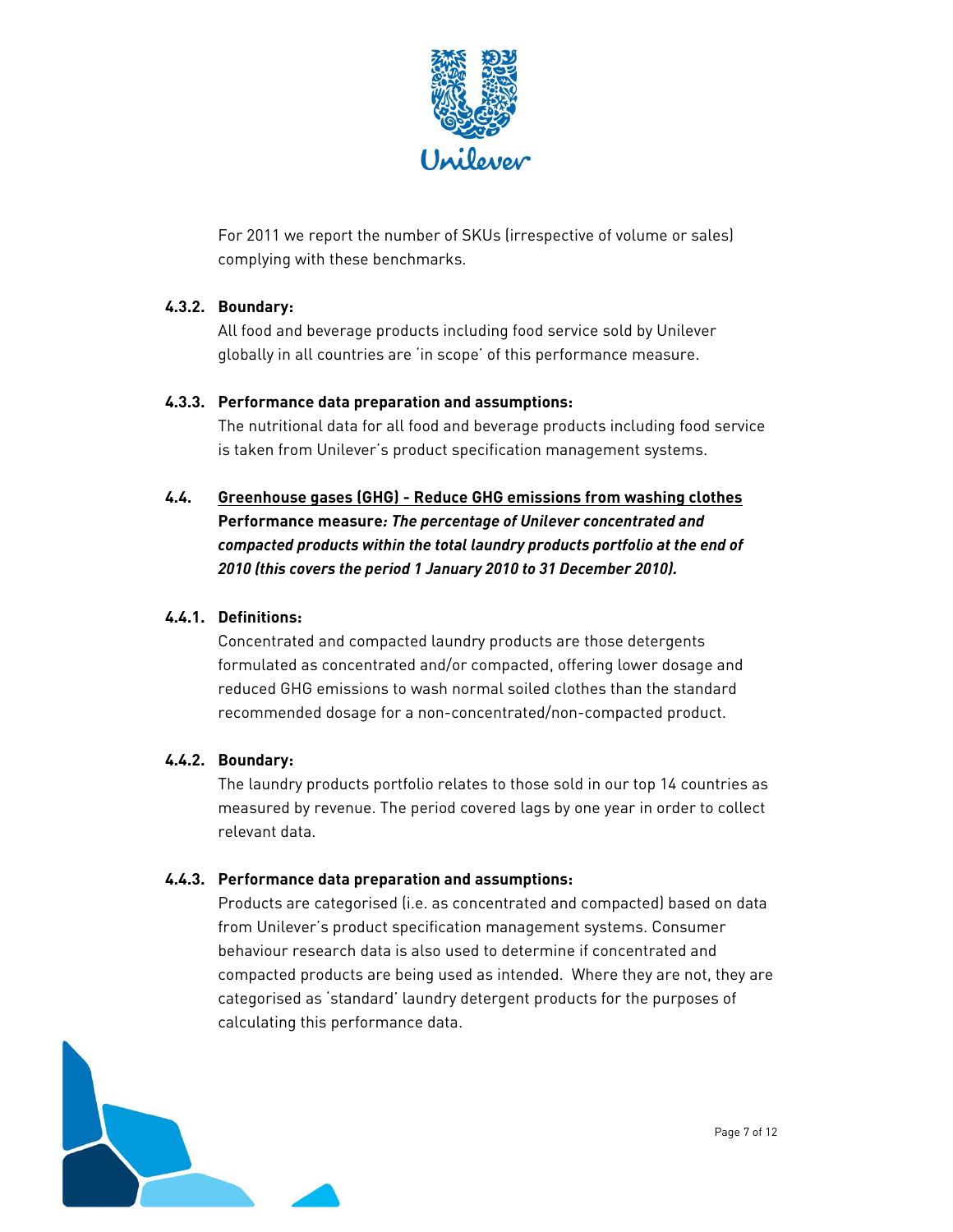

For 2011 we report the number of SKUs (irrespective of volume or sales) complying with these benchmarks.

## **4.3.2. Boundary:**

All food and beverage products including food service sold by Unilever globally in all countries are 'in scope' of this performance measure.

## **4.3.3. Performance data preparation and assumptions:**

 is taken from Unilever's product specification management systems. The nutritional data for all food and beverage products including food service

 *compacted products within the total laundry products portfolio at the end of*  **4.4. Greenhouse gases (GHG) - Reduce GHG emissions from washing clothes Performance measure***: The percentage of Unilever concentrated and 2010 (this covers the period 1 January 2010 to 31 December 2010).* 

## **4.4.1. Definitions:**

Concentrated and compacted laundry products are those detergents formulated as concentrated and/or compacted, offering lower dosage and reduced GHG emissions to wash normal soiled clothes than the standard recommended dosage for a non-concentrated/non-compacted product.

#### **4.4.2. Boundary:**

The laundry products portfolio relates to those sold in our top 14 countries as measured by revenue. The period covered lags by one year in order to collect relevant data.

#### **4.4.3. Performance data preparation and assumptions:**

Products are categorised (i.e. as concentrated and compacted) based on data from Unilever's product specification management systems. Consumer behaviour research data is also used to determine if concentrated and compacted products are being used as intended. Where they are not, they are categorised as 'standard' laundry detergent products for the purposes of calculating this performance data.

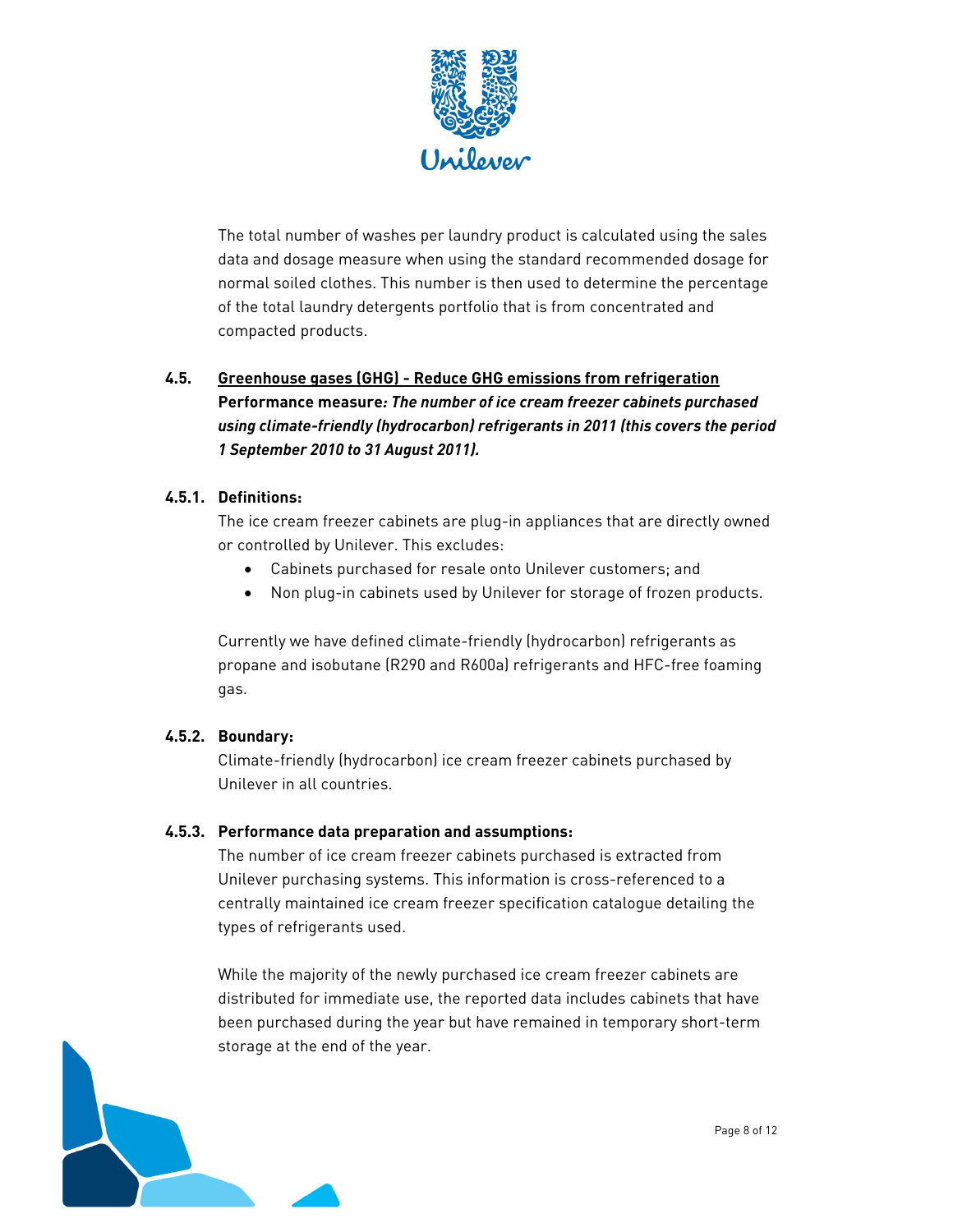

The total number of washes per laundry product is calculated using the sales data and dosage measure when using the standard recommended dosage for normal soiled clothes. This number is then used to determine the percentage of the total laundry detergents portfolio that is from concentrated and compacted products.

## **4.5. Greenhouse gases (GHG) - Reduce GHG emissions from refrigeration**

 **Performance measure***: The number of ice cream freezer cabinets purchased 1 September 2010 to 31 August 2011). using climate-friendly (hydrocarbon) refrigerants in 2011 (this covers the period* 

## **4.5.1. Definitions:**

 or controlled by Unilever. This excludes: The ice cream freezer cabinets are plug-in appliances that are directly owned

- Cabinets purchased for resale onto Unilever customers; and
- Non plug-in cabinets used by Unilever for storage of frozen products.

Currently we have defined climate-friendly (hydrocarbon) refrigerants as propane and isobutane (R290 and R600a) refrigerants and HFC-free foaming gas.

## **4.5.2. Boundary:**

Climate-friendly (hydrocarbon) ice cream freezer cabinets purchased by Unilever in all countries.

## **4.5.3. Performance data preparation and assumptions:**

The number of ice cream freezer cabinets purchased is extracted from Unilever purchasing systems. This information is cross-referenced to a centrally maintained ice cream freezer specification catalogue detailing the types of refrigerants used.

While the majority of the newly purchased ice cream freezer cabinets are distributed for immediate use, the reported data includes cabinets that have been purchased during the year but have remained in temporary short-term storage at the end of the year.

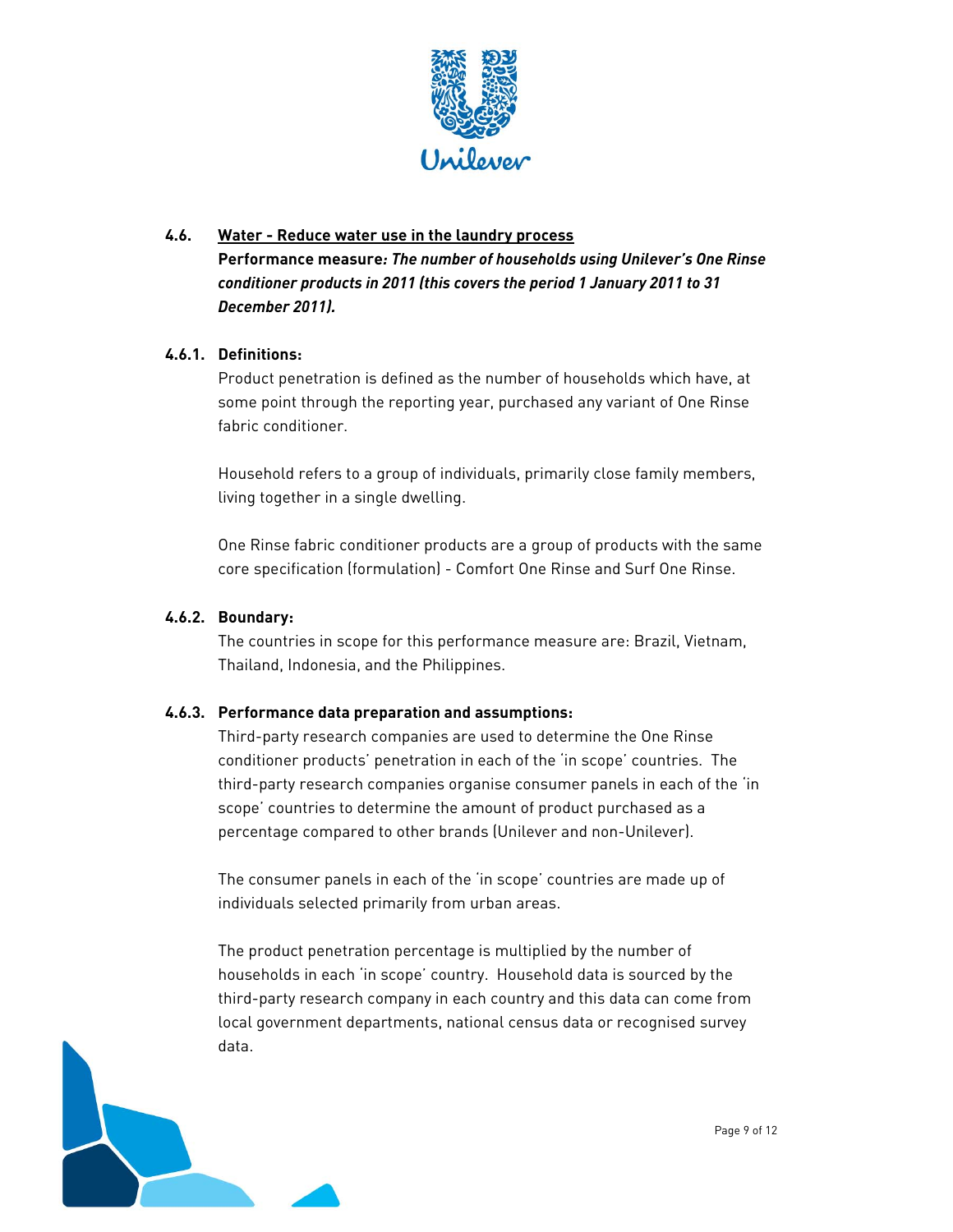

#### **4.6. Water - Reduce water use in the laundry process**

 *conditioner products in 2011 (this covers the period 1 January 2011 to 31*  **Performance measure***: The number of households using Unilever's One Rinse December 2011).* 

#### **4.6.1. Definitions:**

Product penetration is defined as the number of households which have, at some point through the reporting year, purchased any variant of One Rinse fabric conditioner.

Household refers to a group of individuals, primarily close family members, living together in a single dwelling.

 One Rinse fabric conditioner products are a group of products with the same core specification (formulation) - Comfort One Rinse and Surf One Rinse.

#### **4.6.2. Boundary:**

The countries in scope for this performance measure are: Brazil, Vietnam, Thailand, Indonesia, and the Philippines.

#### **4.6.3. Performance data preparation and assumptions:**

 third-party research companies organise consumer panels in each of the 'in Third-party research companies are used to determine the One Rinse conditioner products' penetration in each of the 'in scope' countries. The scope' countries to determine the amount of product purchased as a percentage compared to other brands (Unilever and non-Unilever).

The consumer panels in each of the 'in scope' countries are made up of individuals selected primarily from urban areas.

The product penetration percentage is multiplied by the number of households in each 'in scope' country. Household data is sourced by the third-party research company in each country and this data can come from local government departments, national census data or recognised survey data.

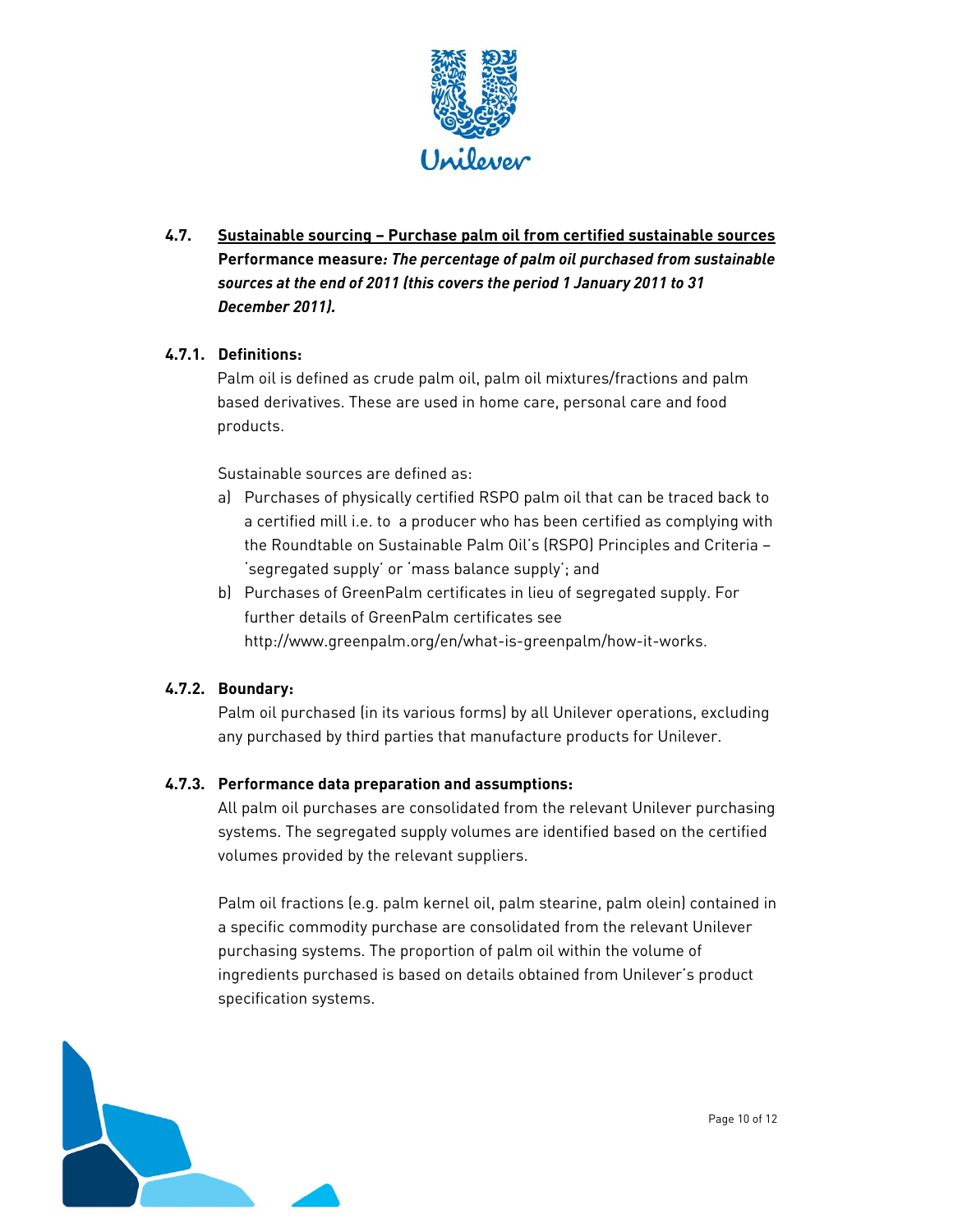

## *sources at the end of 2011 (this covers the period 1 January 2011 to 31*  **4.7. Sustainable sourcing – Purchase palm oil from certified sustainable sources Performance measure***: The percentage of palm oil purchased from sustainable December 2011).*

## **4.7.1. Definitions:**

Palm oil is defined as crude palm oil, palm oil mixtures/fractions and palm based derivatives. These are used in home care, personal care and food products.

Sustainable sources are defined as:

- the Roundtable on Sustainable Palm Oil's (RSPO) Principles and Criteria a) Purchases of physically certified RSPO palm oil that can be traced back to a certified mill i.e. to a producer who has been certified as complying with 'segregated supply' or 'mass balance supply'; and
- b) Purchases of GreenPalm certificates in lieu of segregated supply. For further details of GreenPalm certificates see http://www.greenpalm.org/en/what-is-greenpalm/how-it-works.

#### **4.7.2. Boundary:**

Palm oil purchased (in its various forms) by all Unilever operations, excluding any purchased by third parties that manufacture products for Unilever.

#### **4.7.3. Performance data preparation and assumptions:**

All palm oil purchases are consolidated from the relevant Unilever purchasing systems. The segregated supply volumes are identified based on the certified volumes provided by the relevant suppliers.

Palm oil fractions (e.g. palm kernel oil, palm stearine, palm olein) contained in a specific commodity purchase are consolidated from the relevant Unilever purchasing systems. The proportion of palm oil within the volume of ingredients purchased is based on details obtained from Unilever's product specification systems.

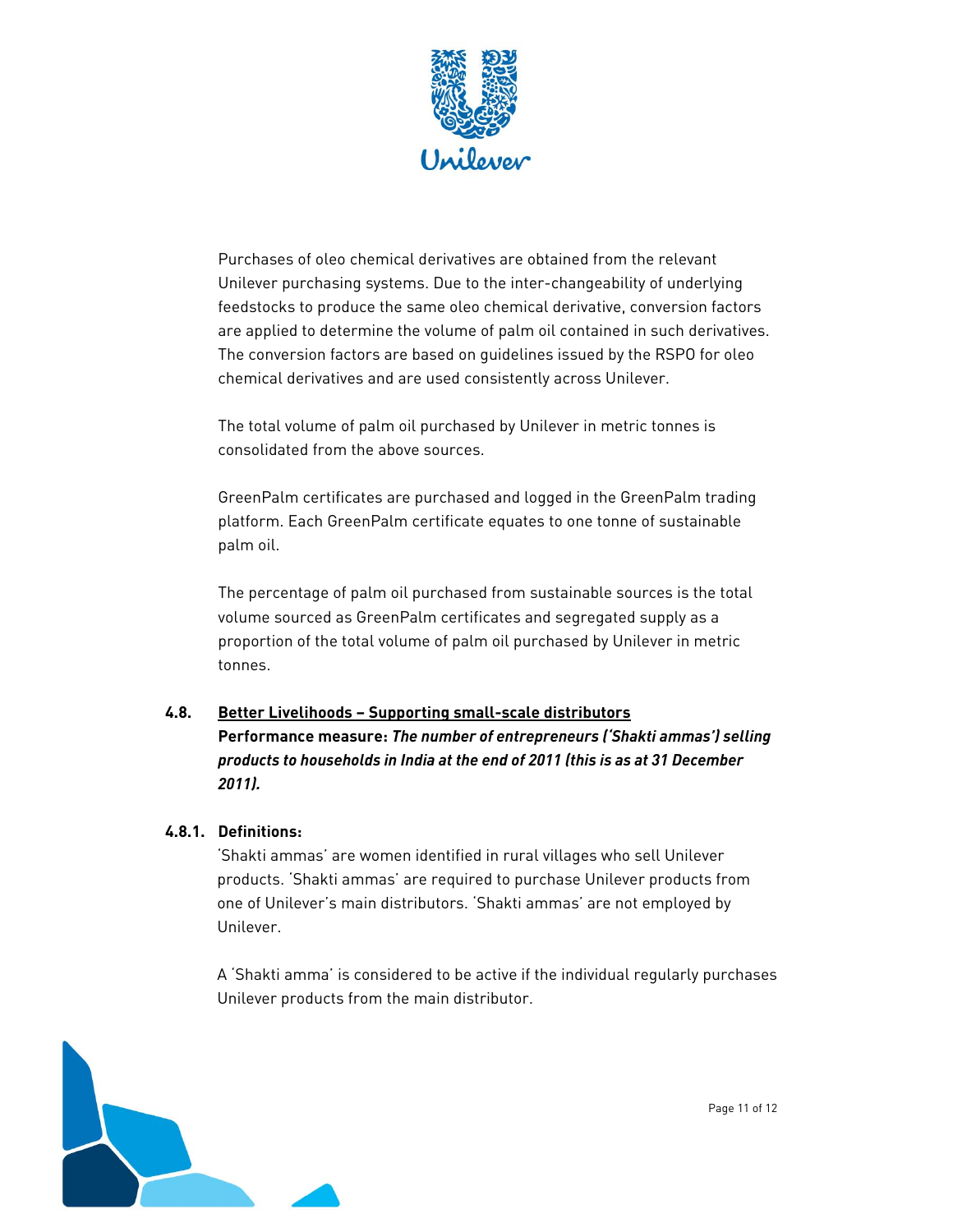

Purchases of oleo chemical derivatives are obtained from the relevant Unilever purchasing systems. Due to the inter-changeability of underlying feedstocks to produce the same oleo chemical derivative, conversion factors are applied to determine the volume of palm oil contained in such derivatives. The conversion factors are based on guidelines issued by the RSPO for oleo chemical derivatives and are used consistently across Unilever.

 The total volume of palm oil purchased by Unilever in metric tonnes is consolidated from the above sources.

GreenPalm certificates are purchased and logged in the GreenPalm trading platform. Each GreenPalm certificate equates to one tonne of sustainable palm oil.

The percentage of palm oil purchased from sustainable sources is the total volume sourced as GreenPalm certificates and segregated supply as a proportion of the total volume of palm oil purchased by Unilever in metric tonnes.

#### **4.8. Better Livelihoods – Supporting small-scale distributors**

**Performance measure:** *The number of entrepreneurs ('Shakti ammas') selling products to households in India at the end of 2011 (this is as at 31 December 2011).* 

#### **4.8.1. Definitions:**

'Shakti ammas' are women identified in rural villages who sell Unilever products. 'Shakti ammas' are required to purchase Unilever products from one of Unilever's main distributors. 'Shakti ammas' are not employed by Unilever.

A 'Shakti amma' is considered to be active if the individual regularly purchases Unilever products from the main distributor.